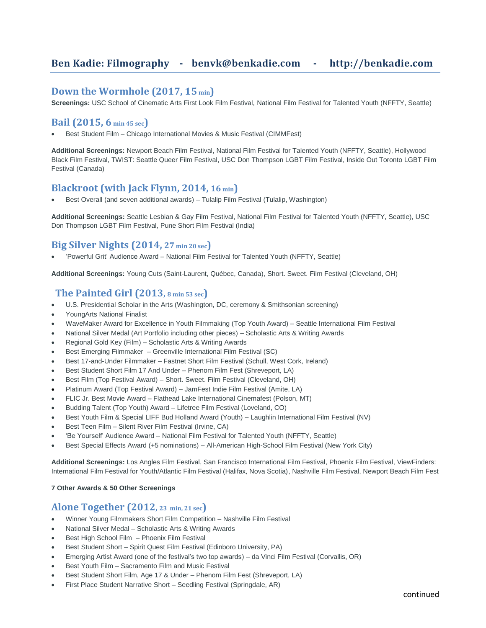# **Ben Kadie: Filmography - [benvk@benkadie.com](mailto:benvk@slugco.com) - http://benkadie.com**

### **Down the Wormhole (2017, 15 min)**

**Screenings:** USC School of Cinematic Arts First Look Film Festival, National Film Festival for Talented Youth (NFFTY, Seattle)

# **Bail (2015, 6 min 45 sec)**

• Best Student Film – Chicago International Movies & Music Festival (CIMMFest)

**Additional Screenings:** Newport Beach Film Festival, National Film Festival for Talented Youth (NFFTY, Seattle), Hollywood Black Film Festival, TWIST: Seattle Queer Film Festival, USC Don Thompson LGBT Film Festival, Inside Out Toronto LGBT Film Festival (Canada)

# **Blackroot (with Jack Flynn, 2014, 16 min)**

• Best Overall (and seven additional awards) – Tulalip Film Festival (Tulalip, Washington)

**Additional Screenings:** Seattle Lesbian & Gay Film Festival, National Film Festival for Talented Youth (NFFTY, Seattle), USC Don Thompson LGBT Film Festival, Pune Short Film Festival (India)

# **Big Silver Nights (2014, 27 min 20 sec)**

• 'Powerful Grit' Audience Award – National Film Festival for Talented Youth (NFFTY, Seattle)

**Additional Screenings:** Young Cuts (Saint-Laurent, Québec, Canada), Short. Sweet. Film Festival (Cleveland, OH)

### **The Painted Girl (2013, <sup>8</sup> min <sup>53</sup> sec)**

- U.S. Presidential Scholar in the Arts (Washington, DC, ceremony & Smithsonian screening)
- YoungArts National Finalist
- WaveMaker Award for Excellence in Youth Filmmaking (Top Youth Award) Seattle International Film Festival
- National Silver Medal (Art Portfolio including other pieces) Scholastic Arts & Writing Awards
- Regional Gold Key (Film) Scholastic Arts & Writing Awards
- Best Emerging Filmmaker Greenville International Film Festival (SC)
- Best 17-and-Under Filmmaker Fastnet Short Film Festival (Schull, West Cork, Ireland)
- Best Student Short Film 17 And Under Phenom Film Fest (Shreveport, LA)
- Best Film (Top Festival Award) Short. Sweet. Film Festival (Cleveland, OH)
- Platinum Award (Top Festival Award) JamFest Indie Film Festival (Amite, LA)
- FLIC Jr. Best Movie Award Flathead Lake International Cinemafest (Polson, MT)
- Budding Talent (Top Youth) Award Lifetree Film Festival (Loveland, CO)
- Best Youth Film & Special LIFF Bud Holland Award (Youth) Laughlin International Film Festival (NV)
- Best Teen Film Silent River Film Festival (Irvine, CA)
- 'Be Yourself' Audience Award National Film Festival for Talented Youth (NFFTY, Seattle)
- Best Special Effects Award (+5 nominations) All-American High-School Film Festival (New York City)

**Additional Screenings:** Los Angles Film Festival, San Francisco International Film Festival, Phoenix Film Festival, ViewFinders: International Film Festival for Youth/Atlantic Film Festival (Halifax, Nova Scotia), Nashville Film Festival, Newport Beach Film Fest

**7 Other Awards & 50 Other Screenings**

#### **Alone Together (2012, <sup>23</sup> min, 21 sec)**

- Winner Young Filmmakers Short Film Competition Nashville Film Festival
- National Silver Medal Scholastic Arts & Writing Awards
- Best High School Film Phoenix Film Festival
- Best Student Short Spirit Quest Film Festival (Edinboro University, PA)
- Emerging Artist Award (one of the festival's two top awards) da Vinci Film Festival (Corvallis, OR)
- Best Youth Film Sacramento Film and Music Festival
- Best Student Short Film, Age 17 & Under Phenom Film Fest (Shreveport, LA)
- First Place Student Narrative Short Seedling Festival (Springdale, AR)